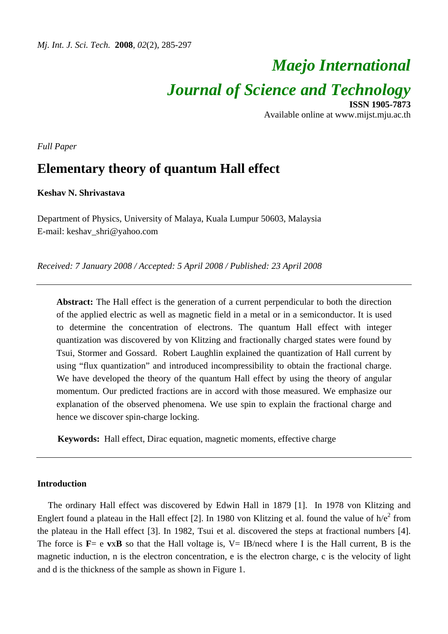# *Maejo International Journal of Science and Technology* **ISSN 1905-7873**

Available online at www.mijst.mju.ac.th

*Full Paper* 

# **Elementary theory of quantum Hall effect**

# **Keshav N. Shrivastava**

Department of Physics, University of Malaya, Kuala Lumpur 50603, Malaysia E-mail: keshav\_shri@yahoo.com

*Received: 7 January 2008 / Accepted: 5 April 2008 / Published: 23 April 2008* 

**Abstract:** The Hall effect is the generation of a current perpendicular to both the direction of the applied electric as well as magnetic field in a metal or in a semiconductor. It is used to determine the concentration of electrons. The quantum Hall effect with integer quantization was discovered by von Klitzing and fractionally charged states were found by Tsui, Stormer and Gossard. Robert Laughlin explained the quantization of Hall current by using "flux quantization" and introduced incompressibility to obtain the fractional charge. We have developed the theory of the quantum Hall effect by using the theory of angular momentum. Our predicted fractions are in accord with those measured. We emphasize our explanation of the observed phenomena. We use spin to explain the fractional charge and hence we discover spin-charge locking.

**Keywords:** Hall effect, Dirac equation, magnetic moments, effective charge

# **Introduction**

The ordinary Hall effect was discovered by Edwin Hall in 1879 [1]. In 1978 von Klitzing and Englert found a plateau in the Hall effect [2]. In 1980 von Klitzing et al. found the value of  $h/e^2$  from the plateau in the Hall effect [3]. In 1982, Tsui et al. discovered the steps at fractional numbers [4]. The force is  $\mathbf{F} = e \mathbf{v} \times \mathbf{B}$  so that the Hall voltage is,  $V = IB$ /necd where I is the Hall current, B is the magnetic induction, n is the electron concentration, e is the electron charge, c is the velocity of light and d is the thickness of the sample as shown in Figure 1.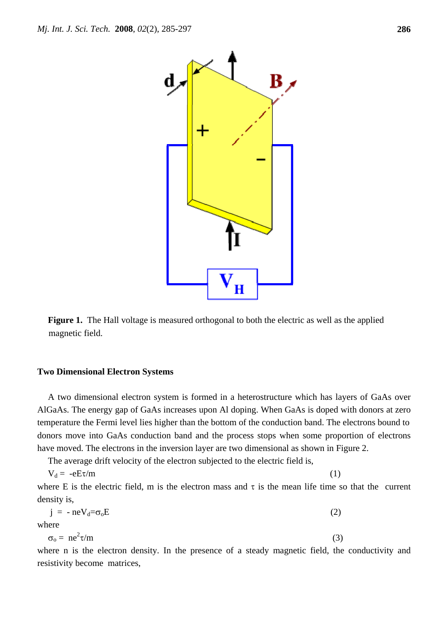

**Figure 1.** The Hall voltage is measured orthogonal to both the electric as well as the applied magnetic field.

#### **Two Dimensional Electron Systems**

A two dimensional electron system is formed in a heterostructure which has layers of GaAs over AlGaAs. The energy gap of GaAs increases upon Al doping. When GaAs is doped with donors at zero temperature the Fermi level lies higher than the bottom of the conduction band. The electrons bound to donors move into GaAs conduction band and the process stops when some proportion of electrons have moved. The electrons in the inversion layer are two dimensional as shown in Figure 2.

The average drift velocity of the electron subjected to the electric field is,

$$
V_d = -eE\tau/m
$$
 (1)

where E is the electric field, m is the electron mass and  $\tau$  is the mean life time so that the current density is,

$$
j = -neV_d = \sigma_0 E \tag{2}
$$

where

$$
\sigma_0 = n e^2 \tau / m \tag{3}
$$

where n is the electron density. In the presence of a steady magnetic field, the conductivity and resistivity become matrices,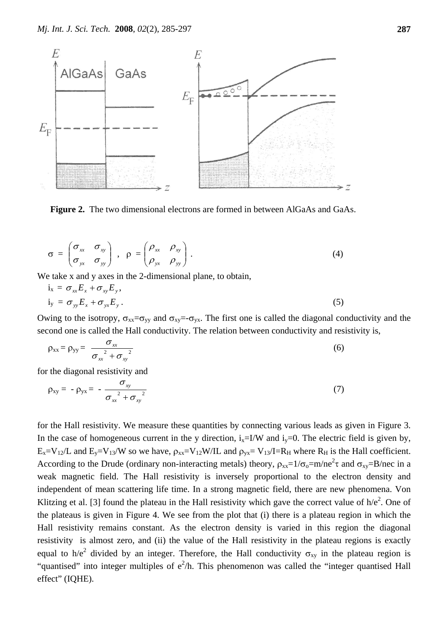

 **Figure 2.** The two dimensional electrons are formed in between AlGaAs and GaAs.

$$
\sigma = \begin{pmatrix} \sigma_{xx} & \sigma_{xy} \\ \sigma_{yx} & \sigma_{yy} \end{pmatrix}, \quad \rho = \begin{pmatrix} \rho_{xx} & \rho_{xy} \\ \rho_{yx} & \rho_{yy} \end{pmatrix}.
$$
 (4)

We take x and y axes in the 2-dimensional plane, to obtain,

$$
i_x = \sigma_{xx} E_x + \sigma_{xy} E_y,
$$
  
\n
$$
i_y = \sigma_{yy} E_x + \sigma_{yx} E_y.
$$
\n(5)

Owing to the isotropy,  $\sigma_{xx} = \sigma_{yy}$  and  $\sigma_{xy} = -\sigma_{yx}$ . The first one is called the diagonal conductivity and the second one is called the Hall conductivity. The relation between conductivity and resistivity is,

$$
\rho_{xx} = \rho_{yy} = \frac{\sigma_{xx}}{\sigma_{xx}^2 + \sigma_{xy}^2}
$$
\n(6)

for the diagonal resistivity and

$$
\rho_{xy} = -\rho_{yx} = -\frac{\sigma_{xy}}{\sigma_{xx}^2 + \sigma_{xy}^2}
$$
\n(7)

for the Hall resistivity. We measure these quantities by connecting various leads as given in Figure 3. In the case of homogeneous current in the y direction,  $i_x=1/W$  and  $i_y=0$ . The electric field is given by,  $E_x=V_{12}/L$  and  $E_y=V_{13}/W$  so we have,  $\rho_{xx}=V_{12}W/IL$  and  $\rho_{yx}=V_{13}/I=R_H$  where  $R_H$  is the Hall coefficient. According to the Drude (ordinary non-interacting metals) theory,  $\rho_{xx} = 1/\sigma_0 = m/ne^2\tau$  and  $\sigma_{xy} = B/nec$  in a weak magnetic field. The Hall resistivity is inversely proportional to the electron density and independent of mean scattering life time. In a strong magnetic field, there are new phenomena. Von Klitzing et al. [3] found the plateau in the Hall resistivity which gave the correct value of  $h/e<sup>2</sup>$ . One of the plateaus is given in Figure 4. We see from the plot that (i) there is a plateau region in which the Hall resistivity remains constant. As the electron density is varied in this region the diagonal resistivity is almost zero, and (ii) the value of the Hall resistivity in the plateau regions is exactly equal to h/e<sup>2</sup> divided by an integer. Therefore, the Hall conductivity  $\sigma_{xy}$  in the plateau region is "quantised" into integer multiples of  $e^2/h$ . This phenomenon was called the "integer quantised Hall effect" (IQHE).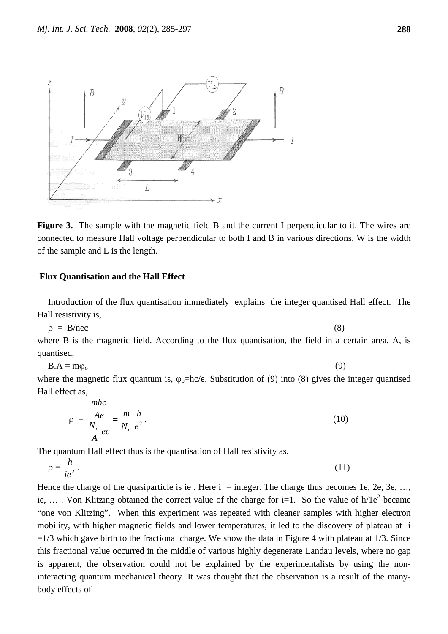

**Figure 3.** The sample with the magnetic field B and the current I perpendicular to it. The wires are connected to measure Hall voltage perpendicular to both I and B in various directions. W is the width of the sample and L is the length.

# **Flux Quantisation and the Hall Effect**

*mhc*

Introduction of the flux quantisation immediately explains the integer quantised Hall effect. The Hall resistivity is,

 $\rho = B/mec$  (8)

where B is the magnetic field. According to the flux quantisation, the field in a certain area, A, is quantised,

$$
B.A = m\varphi_0 \tag{9}
$$

where the magnetic flux quantum is,  $\varphi_0$ =hc/e. Substitution of (9) into (8) gives the integer quantised Hall effect as,

$$
\rho = \frac{\frac{mnc}{Ae}}{\frac{N_o}{A}ec} = \frac{m}{N_o} \frac{h}{e^2}.
$$
\n(10)

The quantum Hall effect thus is the quantisation of Hall resistivity as,

$$
\rho = \frac{h}{ie^2}.\tag{11}
$$

Hence the charge of the quasiparticle is ie. Here  $i =$  integer. The charge thus becomes 1e, 2e, 3e, ..., ie, ... Von Klitzing obtained the correct value of the charge for i=1. So the value of  $h/1e^2$  became "one von Klitzing". When this experiment was repeated with cleaner samples with higher electron mobility, with higher magnetic fields and lower temperatures, it led to the discovery of plateau at i  $=1/3$  which gave birth to the fractional charge. We show the data in Figure 4 with plateau at 1/3. Since this fractional value occurred in the middle of various highly degenerate Landau levels, where no gap is apparent, the observation could not be explained by the experimentalists by using the noninteracting quantum mechanical theory. It was thought that the observation is a result of the manybody effects of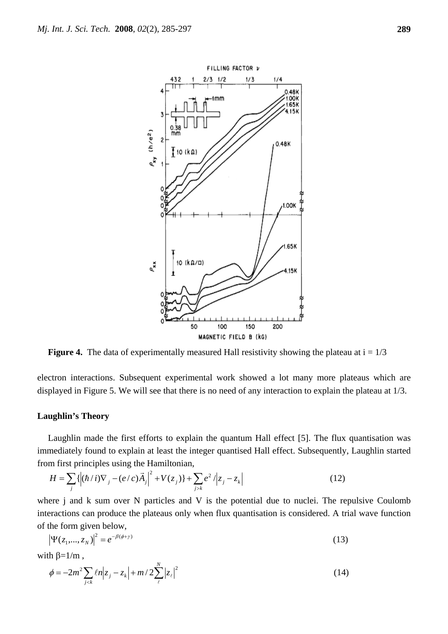

**Figure 4.** The data of experimentally measured Hall resistivity showing the plateau at  $i = 1/3$ 

electron interactions. Subsequent experimental work showed a lot many more plateaus which are displayed in Figure 5. We will see that there is no need of any interaction to explain the plateau at 1/3.

#### **Laughlin's Theory**

Laughlin made the first efforts to explain the quantum Hall effect [5]. The flux quantisation was immediately found to explain at least the integer quantised Hall effect. Subsequently, Laughlin started from first principles using the Hamiltonian,

$$
H = \sum_{j} \{ \left| (\hbar / i) \nabla_{j} - (e/c) \vec{A}_{j} \right|^{2} + V(z_{j}) \} + \sum_{j > k} e^{2} / |z_{j} - z_{k}|
$$
(12)

where j and k sum over N particles and V is the potential due to nuclei. The repulsive Coulomb interactions can produce the plateaus only when flux quantisation is considered. A trial wave function of the form given below,

$$
\left|\Psi(z_1,...,z_N)\right|^2 = e^{-\beta(\phi+\gamma)}\tag{13}
$$

with  $\beta = 1/m$ ,

$$
\phi = -2m^2 \sum_{j < k} \ell n |z_j - z_k| + m / 2 \sum_{\ell}^{N} |z_{\ell}|^2 \tag{14}
$$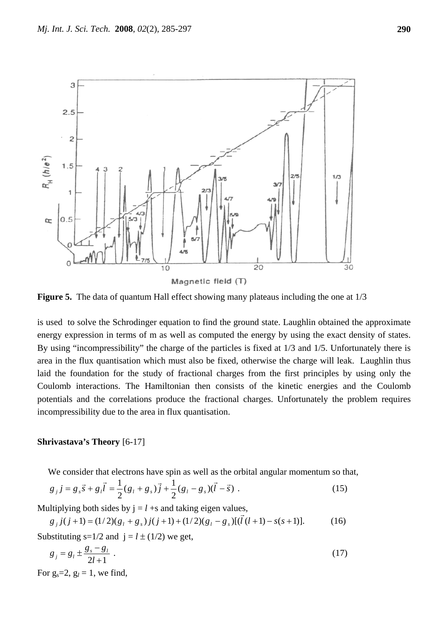

**Figure 5.** The data of quantum Hall effect showing many plateaus including the one at 1/3

is used to solve the Schrodinger equation to find the ground state. Laughlin obtained the approximate energy expression in terms of m as well as computed the energy by using the exact density of states. By using "incompressibility" the charge of the particles is fixed at 1/3 and 1/5. Unfortunately there is area in the flux quantisation which must also be fixed, otherwise the charge will leak. Laughlin thus laid the foundation for the study of fractional charges from the first principles by using only the Coulomb interactions. The Hamiltonian then consists of the kinetic energies and the Coulomb potentials and the correlations produce the fractional charges. Unfortunately the problem requires incompressibility due to the area in flux quantisation.

# **Shrivastava's Theory** [6-17]

We consider that electrons have spin as well as the orbital angular momentum so that,

$$
g_{j}j = g_{s}\vec{s} + g_{l}\vec{l} = \frac{1}{2}(g_{l} + g_{s})\vec{j} + \frac{1}{2}(g_{l} - g_{s})(\vec{l} - \vec{s})
$$
 (15)

Multiplying both sides by  $j = l + s$  and taking eigen values,

$$
g_j j(j+1) = (1/2)(g_l + g_s) j(j+1) + (1/2)(g_l - g_s) [(\vec{l}(l+1) - s(s+1))].
$$
 (16)

Substituting  $s=1/2$  and  $j=l \pm (1/2)$  we get,

$$
g_j = g_l \pm \frac{g_s - g_l}{2l + 1} \tag{17}
$$

For  $g_s = 2$ ,  $g_l = 1$ , we find,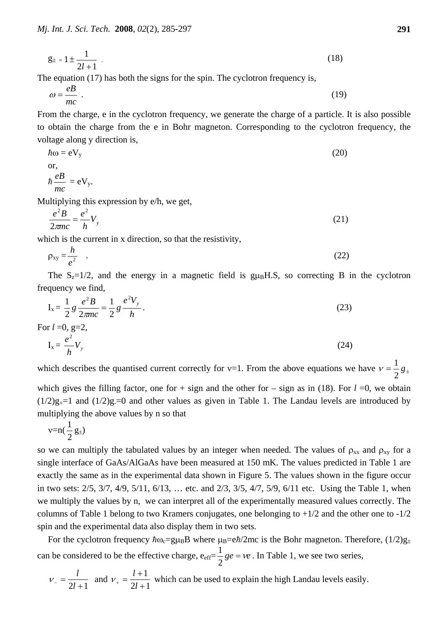$$
g_{\pm} = 1 \pm \frac{1}{2l+1} \tag{18}
$$

The equation (17) has both the signs for the spin. The cyclotron frequency is,

$$
\omega = \frac{e}{mc} \tag{19}
$$

From the charge, e in the cyclotron frequency, we generate the charge of a particle. It is also possible to obtain the charge from the e in Bohr magneton. Corresponding to the cyclotron frequency, the voltage along y direction is,

$$
\hbar\omega = eV_y
$$
  
or,  

$$
\hbar \frac{eB}{mc} = eV_y.
$$
 (20)

Multiplying this expression by e/h, we get,

$$
\frac{e^2B}{2\pi n c} = \frac{e^2}{h}V_y
$$
 (21)

which is the current in x direction, so that the resistivity,

$$
\rho_{xy} = \frac{h}{e^2} \quad . \tag{22}
$$

The  $S_z=1/2$ , and the energy in a magnetic field is  $g\mu_B H.S$ , so correcting B in the cyclotron frequency we find,

$$
I_x = \frac{1}{2} g \frac{e^2 B}{2\pi n c} = \frac{1}{2} g \frac{e^2 V_y}{h}.
$$
 (23)

For  $l = 0$ ,  $g=2$ ,

$$
I_x = \frac{e^2}{h} V_y \tag{24}
$$

which describes the quantised current correctly for v=1. From the above equations we have  $v = \frac{1}{2} g_{\pm}$ 

which gives the filling factor, one for  $+$  sign and the other for  $-$  sign as in (18). For  $l = 0$ , we obtain  $(1/2)g_{+}=1$  and  $(1/2)g_{-}=0$  and other values as given in Table 1. The Landau levels are introduced by multiplying the above values by n so that

$$
\nu{=}n(\frac{1}{2}\,g_{\pm})
$$

so we can multiply the tabulated values by an integer when needed. The values of  $\rho_{xx}$  and  $\rho_{xy}$  for a single interface of GaAs/AlGaAs have been measured at 150 mK. The values predicted in Table 1 are exactly the same as in the experimental data shown in Figure 5. The values shown in the figure occur in two sets: 2/5, 3/7, 4/9, 5/11, 6/13, … etc. and 2/3, 3/5, 4/7, 5/9, 6/11 etc. Using the Table 1, when we multiply the values by n, we can interpret all of the experimentally measured values correctly. The columns of Table 1 belong to two Kramers conjugates, one belonging to  $+1/2$  and the other one to  $-1/2$ spin and the experimental data also display them in two sets.

For the cyclotron frequency  $\hbar\omega_c = g\mu_B B$  where  $\mu_B = e\hbar/2mc$  is the Bohr magneton. Therefore,  $(1/2)g_{\pm}$ can be considered to be the effective charge,  $e_{\text{eff}} = \frac{1}{2} g e = ve$ 2  $\frac{1}{2}$  ge =  $ve$ . In Table 1, we see two series,

$$
v_- = \frac{l}{2l+1}
$$
 and  $v_+ = \frac{l+1}{2l+1}$  which can be used to explain the high Landau levels easily.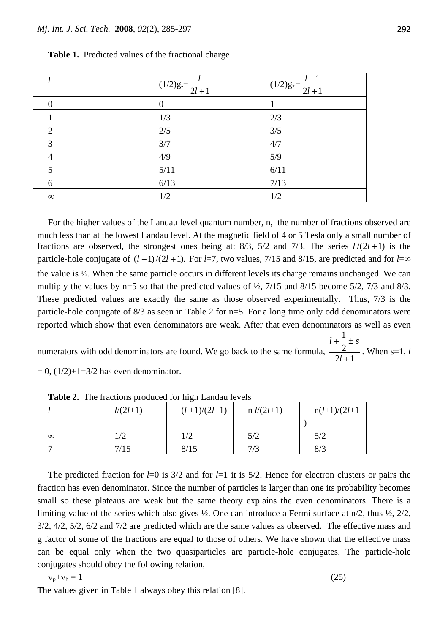|          | $(1/2)g = \frac{l}{2l+1}$ | $(1/2)g_{+}=\frac{l+1}{2l+1}$ |
|----------|---------------------------|-------------------------------|
|          | 0                         |                               |
|          | 1/3                       | 2/3                           |
| 2        | 2/5                       | 3/5                           |
| 3        | 3/7                       | 4/7                           |
| 4        | 4/9                       | 5/9                           |
|          | $5/11$                    | 6/11                          |
| 6        | 6/13                      | 7/13                          |
| $\infty$ | 1/2                       | 1/2                           |

**Table 1.** Predicted values of the fractional charge

For the higher values of the Landau level quantum number, n, the number of fractions observed are much less than at the lowest Landau level. At the magnetic field of 4 or 5 Tesla only a small number of fractions are observed, the strongest ones being at:  $8/3$ ,  $5/2$  and  $7/3$ . The series  $l/(2l+1)$  is the particle-hole conjugate of  $(l+1)/(2l+1)$ . For *l*=7, two values, 7/15 and 8/15, are predicted and for *l*=∞ the value is  $\frac{1}{2}$ . When the same particle occurs in different levels its charge remains unchanged. We can multiply the values by  $n=5$  so that the predicted values of  $\frac{1}{2}$ ,  $\frac{7}{15}$  and  $\frac{8}{15}$  become  $\frac{5}{2}$ ,  $\frac{7}{3}$  and  $\frac{8}{3}$ . These predicted values are exactly the same as those observed experimentally. Thus, 7/3 is the particle-hole conjugate of 8/3 as seen in Table 2 for n=5. For a long time only odd denominators were reported which show that even denominators are weak. After that even denominators as well as even 1

numerators with odd denominators are found. We go back to the same formula,  $\frac{2}{2l+1}$ +  $+\div$ *l*  $l + \frac{1}{2} \pm s$ . When s=1, *l*

 $= 0$ ,  $(1/2)+1=3/2$  has even denominator.

|          | $l/(2l+1)$ | $(l+1)/(2l+1)$ | $n l/(2l+1)$ | $n(l+1)/(2l+1)$ |
|----------|------------|----------------|--------------|-----------------|
|          |            |                |              |                 |
| $\infty$ | 1/2        | 1/2            | 5/2          | 5/2             |
|          | 7/15       | 8/15           | 7/3          | 8/3             |

**Table 2.** The fractions produced for high Landau levels

The predicted fraction for *l*=0 is 3/2 and for *l*=1 it is 5/2. Hence for electron clusters or pairs the fraction has even denominator. Since the number of particles is larger than one its probability becomes small so these plateaus are weak but the same theory explains the even denominators. There is a limiting value of the series which also gives  $\frac{1}{2}$ . One can introduce a Fermi surface at  $n/2$ , thus  $\frac{1}{2}$ ,  $\frac{2}{2}$ , 3/2, 4/2, 5/2, 6/2 and 7/2 are predicted which are the same values as observed. The effective mass and g factor of some of the fractions are equal to those of others. We have shown that the effective mass can be equal only when the two quasiparticles are particle-hole conjugates. The particle-hole conjugates should obey the following relation,

$$
v_p + v_h = 1 \tag{25}
$$

The values given in Table 1 always obey this relation [8].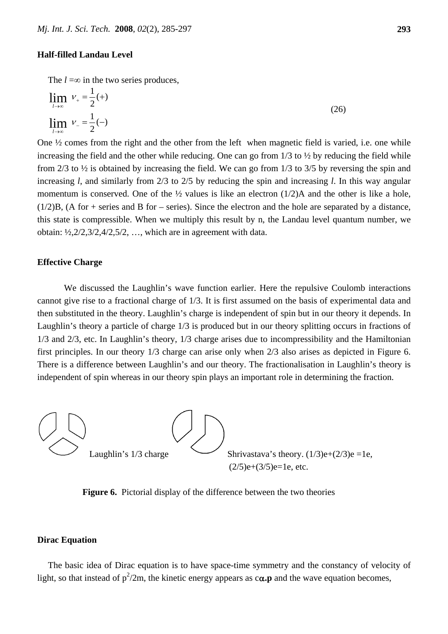# **Half-filled Landau Level**

The  $l = \infty$  in the two series produces.

$$
\lim_{l \to \infty} V_{+} = \frac{1}{2} (+)
$$
\n
$$
\lim_{l \to \infty} V_{-} = \frac{1}{2} (-)
$$
\n(26)

One ½ comes from the right and the other from the left when magnetic field is varied, i.e. one while increasing the field and the other while reducing. One can go from  $1/3$  to  $\frac{1}{2}$  by reducing the field while from 2/3 to ½ is obtained by increasing the field. We can go from 1/3 to 3/5 by reversing the spin and increasing *l*, and similarly from 2/3 to 2/5 by reducing the spin and increasing *l*. In this way angular momentum is conserved. One of the  $\frac{1}{2}$  values is like an electron (1/2)A and the other is like a hole,  $(1/2)B$ , (A for + series and B for – series). Since the electron and the hole are separated by a distance, this state is compressible. When we multiply this result by n, the Landau level quantum number, we obtain:  $\frac{1}{2}$ ,  $\frac{2}{2}$ ,  $\frac{2}{3}$ ,  $\frac{4}{2}$ ,  $\frac{5}{2}$ , ..., which are in agreement with data.

# **Effective Charge**

We discussed the Laughlin's wave function earlier. Here the repulsive Coulomb interactions cannot give rise to a fractional charge of 1/3. It is first assumed on the basis of experimental data and then substituted in the theory. Laughlin's charge is independent of spin but in our theory it depends. In Laughlin's theory a particle of charge 1/3 is produced but in our theory splitting occurs in fractions of 1/3 and 2/3, etc. In Laughlin's theory, 1/3 charge arises due to incompressibility and the Hamiltonian first principles. In our theory 1/3 charge can arise only when 2/3 also arises as depicted in Figure 6. There is a difference between Laughlin's and our theory. The fractionalisation in Laughlin's theory is independent of spin whereas in our theory spin plays an important role in determining the fraction.



**Figure 6.** Pictorial display of the difference between the two theories

# **Dirac Equation**

The basic idea of Dirac equation is to have space-time symmetry and the constancy of velocity of light, so that instead of  $p^2/2m$ , the kinetic energy appears as  $c\alpha$ . p and the wave equation becomes,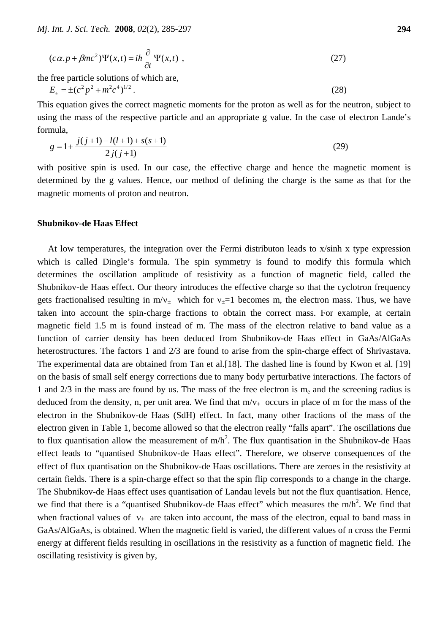$$
(c\alpha \cdot p + \beta mc^2)\Psi(x,t) = i\hbar \frac{\partial}{\partial t} \Psi(x,t) , \qquad (27)
$$

the free particle solutions of which are,

 $E_+ = \pm (c^2 p^2 + m^2 c^4)^{1/2}$ . (28)

This equation gives the correct magnetic moments for the proton as well as for the neutron, subject to using the mass of the respective particle and an appropriate g value. In the case of electron Lande's formula,

$$
g = 1 + \frac{j(j+1) - l(l+1) + s(s+1)}{2j(j+1)}
$$
\n(29)

with positive spin is used. In our case, the effective charge and hence the magnetic moment is determined by the g values. Hence, our method of defining the charge is the same as that for the magnetic moments of proton and neutron.

# **Shubnikov-de Haas Effect**

At low temperatures, the integration over the Fermi distributon leads to x/sinh x type expression which is called Dingle's formula. The spin symmetry is found to modify this formula which determines the oscillation amplitude of resistivity as a function of magnetic field, called the Shubnikov-de Haas effect. Our theory introduces the effective charge so that the cyclotron frequency gets fractionalised resulting in m/ $v_{\pm}$  which for  $v_{\pm}=1$  becomes m, the electron mass. Thus, we have taken into account the spin-charge fractions to obtain the correct mass. For example, at certain magnetic field 1.5 m is found instead of m. The mass of the electron relative to band value as a function of carrier density has been deduced from Shubnikov-de Haas effect in GaAs/AlGaAs heterostructures. The factors 1 and 2/3 are found to arise from the spin-charge effect of Shrivastava. The experimental data are obtained from Tan et al.[18]. The dashed line is found by Kwon et al. [19] on the basis of small self energy corrections due to many body perturbative interactions. The factors of 1 and  $2/3$  in the mass are found by us. The mass of the free electron is  $m_e$  and the screening radius is deduced from the density, n, per unit area. We find that  $m/v_+$  occurs in place of m for the mass of the electron in the Shubnikov-de Haas (SdH) effect. In fact, many other fractions of the mass of the electron given in Table 1, become allowed so that the electron really "falls apart". The oscillations due to flux quantisation allow the measurement of m/h<sup>2</sup>. The flux quantisation in the Shubnikov-de Haas effect leads to "quantised Shubnikov-de Haas effect". Therefore, we observe consequences of the effect of flux quantisation on the Shubnikov-de Haas oscillations. There are zeroes in the resistivity at certain fields. There is a spin-charge effect so that the spin flip corresponds to a change in the charge. The Shubnikov-de Haas effect uses quantisation of Landau levels but not the flux quantisation. Hence, we find that there is a "quantised Shubnikov-de Haas effect" which measures the  $m/h^2$ . We find that when fractional values of  $v_{\pm}$  are taken into account, the mass of the electron, equal to band mass in GaAs/AlGaAs, is obtained. When the magnetic field is varied, the different values of n cross the Fermi energy at different fields resulting in oscillations in the resistivity as a function of magnetic field. The oscillating resistivity is given by,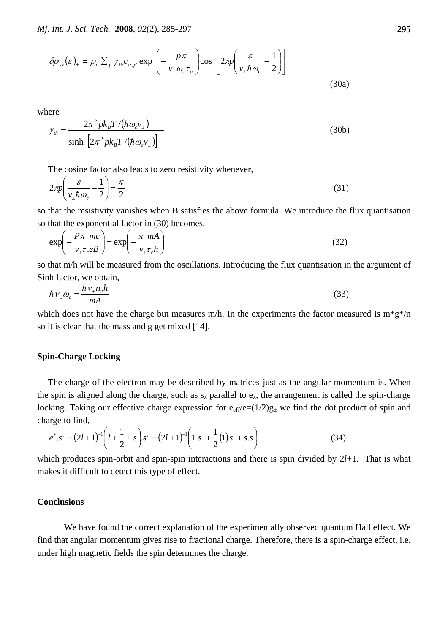$$
\delta \rho_{xx}(\varepsilon)_{\pm} = \rho_o \sum_{p} \gamma_{th} c_{\alpha,\beta} \exp\left(-\frac{p\pi}{v_{\pm} \omega_c \tau_q}\right) \cos\left[2\pi \left(\frac{\varepsilon}{v_{\pm} \hbar \omega_c} - \frac{1}{2}\right)\right]
$$
(30a)

where

$$
\gamma_{th} = \frac{2\pi^2 p k_B T / (\hbar \omega_c v_{\pm})}{\sinh\left[2\pi^2 p k_B T / (\hbar \omega_c v_{\pm})\right]}
$$
(30b)

The cosine factor also leads to zero resistivity whenever,

$$
2\pi \left(\frac{\varepsilon}{v_{\pm} \hbar \omega_c} - \frac{1}{2}\right) = \frac{\pi}{2}
$$
\n(31)

so that the resistivity vanishes when B satisfies the above formula. We introduce the flux quantisation so that the exponential factor in (30) becomes,

$$
\exp\left(-\frac{P\pi mc}{v_{\pm}\tau_c eB}\right) = \exp\left(-\frac{\pi mA}{v_{\pm}\tau_c h}\right) \tag{32}
$$

so that m/h will be measured from the oscillations. Introducing the flux quantisation in the argument of Sinh factor, we obtain,

$$
\hbar v_{\pm} \omega_c = \frac{\hbar v_{\pm} n_2 h}{mA} \tag{33}
$$

which does not have the charge but measures m/h. In the experiments the factor measured is  $m*g*/n$ so it is clear that the mass and g get mixed [14].

#### **Spin-Charge Locking**

The charge of the electron may be described by matrices just as the angular momentum is. When the spin is aligned along the charge, such as  $s_x$  parallel to  $e_x$ , the arrangement is called the spin-charge locking. Taking our effective charge expression for  $e_{\text{eff}}/e=(1/2)g_{+}$  we find the dot product of spin and charge to find,

$$
e^*.s^. = (2l+1)^{-1} \left( l + \frac{1}{2} \pm s \right).s^. = (2l+1)^{-1} \left( 1.s^. + \frac{1}{2} (1).s^. + s.s \right) \tag{34}
$$

which produces spin-orbit and spin-spin interactions and there is spin divided by 2*l*+1. That is what makes it difficult to detect this type of effect.

# **Conclusions**

We have found the correct explanation of the experimentally observed quantum Hall effect. We find that angular momentum gives rise to fractional charge. Therefore, there is a spin-charge effect, i.e. under high magnetic fields the spin determines the charge.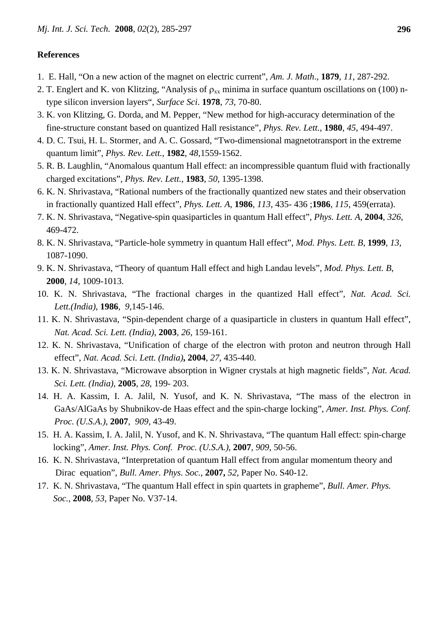# **References**

- 1. E. Hall, "On a new action of the magnet on electric current", *Am. J. Math*., **1879**, *11*, 287-292.
- 2. T. Englert and K. von Klitzing, "Analysis of  $\rho_{xx}$  minima in surface quantum oscillations on (100) ntype silicon inversion layers", *Surface Sci*. **1978**, *73*, 70-80.
- 3. K. von Klitzing, G. Dorda, and M. Pepper, "New method for high-accuracy determination of the fine-structure constant based on quantized Hall resistance", *Phys. Rev. Lett.*, **1980**, *45*, 494-497.
- 4. D. C. Tsui, H. L. Stormer, and A. C. Gossard, "Two-dimensional magnetotransport in the extreme quantum limit", *Phys. Rev. Lett.*, **1982**, *48*,1559-1562.
- 5. R. B. Laughlin, "Anomalous quantum Hall effect: an incompressible quantum fluid with fractionally charged excitations", *Phys. Rev. Lett.*, **1983**, *50*, 1395-1398.
- 6. K. N. Shrivastava, "Rational numbers of the fractionally quantized new states and their observation in fractionally quantized Hall effect", *Phys. Lett. A*, **1986**, *113*, 435- 436 ;**1986**, *115*, 459(errata).
- 7. K. N. Shrivastava, "Negative-spin quasiparticles in quantum Hall effect", *Phys. Lett. A*, **2004**, *326*, 469-472.
- 8. K. N. Shrivastava, "Particle-hole symmetry in quantum Hall effect", *Mod. Phys. Lett. B*, **1999**, *13*, 1087-1090.
- 9. K. N. Shrivastava, "Theory of quantum Hall effect and high Landau levels", *Mod. Phys. Lett. B*,  **2000**, *14*, 1009-1013.
- 10. K. N. Shrivastava, "The fractional charges in the quantized Hall effect", *Nat. Acad. Sci. Lett.(India)*, **1986**, *9*,145-146.
- 11. K. N. Shrivastava, "Spin-dependent charge of a quasiparticle in clusters in quantum Hall effect", *Nat. Acad. Sci. Lett. (India)*, **2003**, *26*, 159-161.
- 12. K. N. Shrivastava, "Unification of charge of the electron with proton and neutron through Hall effect", *Nat. Acad. Sci. Lett. (India)***, 2004**, *27*, 435-440.
- 13. K. N. Shrivastava, "Microwave absorption in Wigner crystals at high magnetic fields", *Nat. Acad. Sci. Lett. (India)*, **2005**, *28*, 199- 203.
- 14. H. A. Kassim, I. A. Jalil, N. Yusof, and K. N. Shrivastava, "The mass of the electron in GaAs/AlGaAs by Shubnikov-de Haas effect and the spin-charge locking", *Amer. Inst. Phys. Conf. Proc. (U.S.A.)*, **2007**, *909*, 43-49.
- 15. H. A. Kassim, I. A. Jalil, N. Yusof, and K. N. Shrivastava, "The quantum Hall effect: spin-charge locking", *Amer. Inst. Phys. Conf. Proc. (U.S.A.)*, **2007**, *909*, 50-56.
- 16. K. N. Shrivastava, "Interpretation of quantum Hall effect from angular momentum theory and Dirac equation", *Bull. Amer. Phys. Soc.*, **2007,** *52*, Paper No. S40-12.
- 17. K. N. Shrivastava, "The quantum Hall effect in spin quartets in grapheme", *Bull. Amer. Phys. Soc.*, **2008**, *53*, Paper No. V37-14.